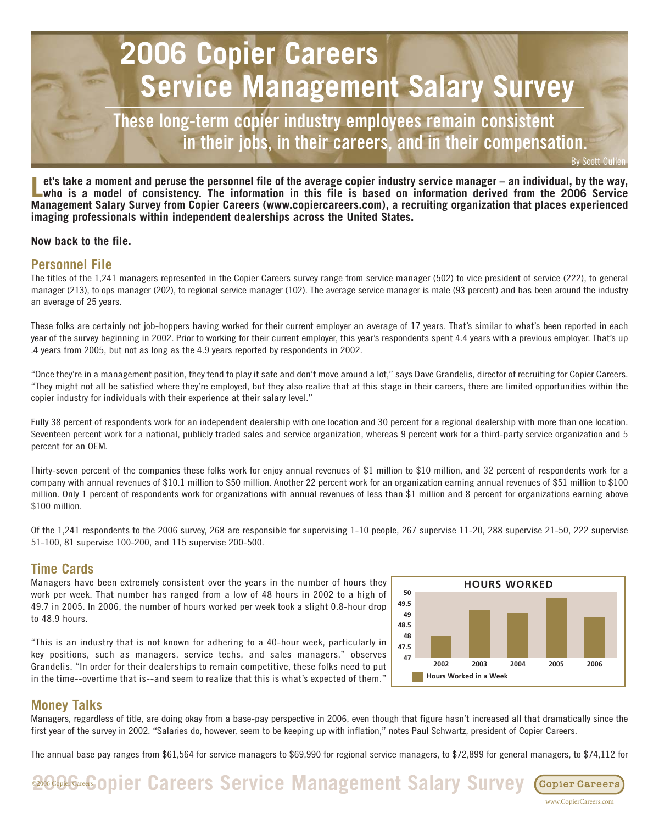# **2006 Copier Careers Service Management Salary Survey**

**These long-term copier industry employees remain consistent in their jobs, in their careers, and in their compensation.** 

et's take a moment and peruse the personnel file of the average copier industry service manager – an individual, by the way,<br>who is a model of consistency. The information in this file is based on information derived from **Management Salary Survey from Copier Careers (www.copiercareers.com), a recruiting organization that places experienced imaging professionals within independent dealerships across the United States.** 

### **Now back to the file.**

# **Personnel File**

The titles of the 1,241 managers represented in the Copier Careers survey range from service manager (502) to vice president of service (222), to general manager (213), to ops manager (202), to regional service manager (102). The average service manager is male (93 percent) and has been around the industry an average of 25 years.

These folks are certainly not job-hoppers having worked for their current employer an average of 17 years. That's similar to what's been reported in each year of the survey beginning in 2002. Prior to working for their current employer, this year's respondents spent 4.4 years with a previous employer. That's up .4 years from 2005, but not as long as the 4.9 years reported by respondents in 2002.

"Once they're in a management position, they tend to play it safe and don't move around a lot," says Dave Grandelis, director of recruiting for Copier Careers. "They might not all be satisfied where they're employed, but they also realize that at this stage in their careers, there are limited opportunities within the copier industry for individuals with their experience at their salary level."

Fully 38 percent of respondents work for an independent dealership with one location and 30 percent for a regional dealership with more than one location. Seventeen percent work for a national, publicly traded sales and service organization, whereas 9 percent work for a third-party service organization and 5 percent for an OEM.

Thirty-seven percent of the companies these folks work for enjoy annual revenues of \$1 million to \$10 million, and 32 percent of respondents work for a company with annual revenues of \$10.1 million to \$50 million. Another 22 percent work for an organization earning annual revenues of \$51 million to \$100 million. Only 1 percent of respondents work for organizations with annual revenues of less than \$1 million and 8 percent for organizations earning above \$100 million.

Of the 1,241 respondents to the 2006 survey, 268 are responsible for supervising 1-10 people, 267 supervise 11-20, 288 supervise 21-50, 222 supervise 51-100, 81 supervise 100-200, and 115 supervise 200-500.

# **Time Cards**

Managers have been extremely consistent over the years in the number of hours they work per week. That number has ranged from a low of 48 hours in 2002 to a high of 49.7 in 2005. In 2006, the number of hours worked per week took a slight 0.8-hour drop to 48.9 hours.

"This is an industry that is not known for adhering to a 40-hour week, particularly in key positions, such as managers, service techs, and sales managers," observes Grandelis. "In order for their dealerships to remain competitive, these folks need to put in the time--overtime that is--and seem to realize that this is what's expected of them."



www.CopierCareers.com

Copier Careers

# **Money Talks**

Managers, regardless of title, are doing okay from a base-pay perspective in 2006, even though that figure hasn't increased all that dramatically since the first year of the survey in 2002. "Salaries do, however, seem to be keeping up with inflation," notes Paul Schwartz, president of Copier Careers.

The annual base pay ranges from \$61,564 for service managers to \$69,990 for regional service managers, to \$72,899 for general managers, to \$74,112 for

©2006 Copier Careers **2006 Copier Careers Service Management Salary Survey**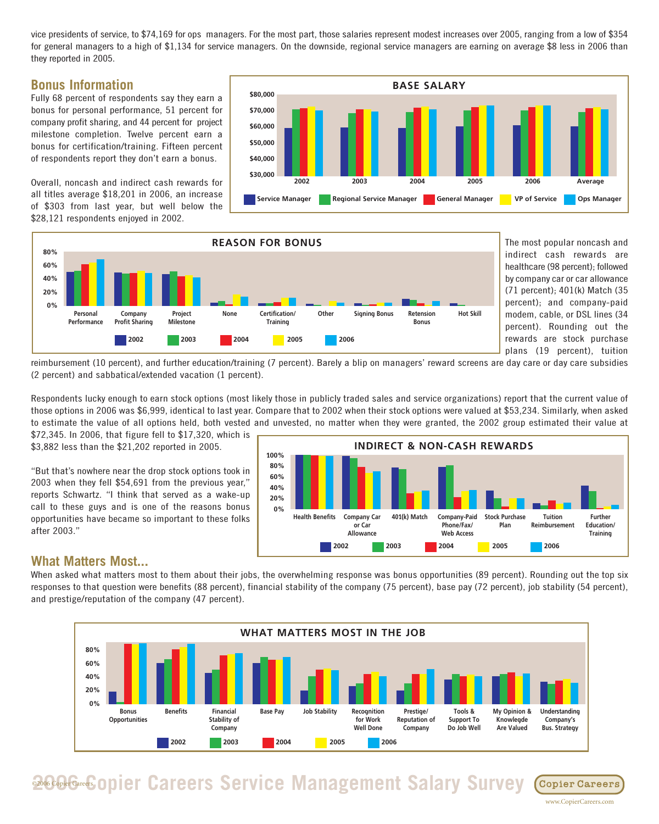vice presidents of service, to \$74,169 for ops managers. For the most part, those salaries represent modest increases over 2005, ranging from a low of \$354 for general managers to a high of \$1,134 for service managers. On the downside, regional service managers are earning on average \$8 less in 2006 than they reported in 2005.

# **Bonus Information**

Fully 68 percent of respondents say they earn a bonus for personal performance, 51 percent for company profit sharing, and 44 percent for project milestone completion. Twelve percent earn a bonus for certification/training. Fifteen percent of respondents report they don't earn a bonus.

Overall, noncash and indirect cash rewards for all titles average \$18,201 in 2006, an increase of \$303 from last year, but well below the \$28,121 respondents enjoyed in 2002.





The most popular noncash and indirect cash rewards are healthcare (98 percent); followed by company car or car allowance (71 percent); 401(k) Match (35 percent); and company-paid modem, cable, or DSL lines (34 percent). Rounding out the rewards are stock purchase plans (19 percent), tuition

reimbursement (10 percent), and further education/training (7 percent). Barely a blip on managers' reward screens are day care or day care subsidies (2 percent) and sabbatical/extended vacation (1 percent).

Respondents lucky enough to earn stock options (most likely those in publicly traded sales and service organizations) report that the current value of those options in 2006 was \$6,999, identical to last year. Compare that to 2002 when their stock options were valued at \$53,234. Similarly, when asked to estimate the value of all options held, both vested and unvested, no matter when they were granted, the 2002 group estimated their value at

\$72,345. In 2006, that figure fell to \$17,320, which is \$3,882 less than the \$21,202 reported in 2005.

"But that's nowhere near the drop stock options took in 2003 when they fell \$54,691 from the previous year," reports Schwartz. "I think that served as a wake-up call to these guys and is one of the reasons bonus opportunities have became so important to these folks after 2003."



# **What Matters Most...**

When asked what matters most to them about their jobs, the overwhelming response was bonus opportunities (89 percent). Rounding out the top six responses to that question were benefits (88 percent), financial stability of the company (75 percent), base pay (72 percent), job stability (54 percent), and prestige/reputation of the company (47 percent).

![](_page_1_Figure_14.jpeg)

#### ©2006 Copier Careers **2006 Copier Careers Service Management Salary Survey** Copier Careers

www.CopierCareers.com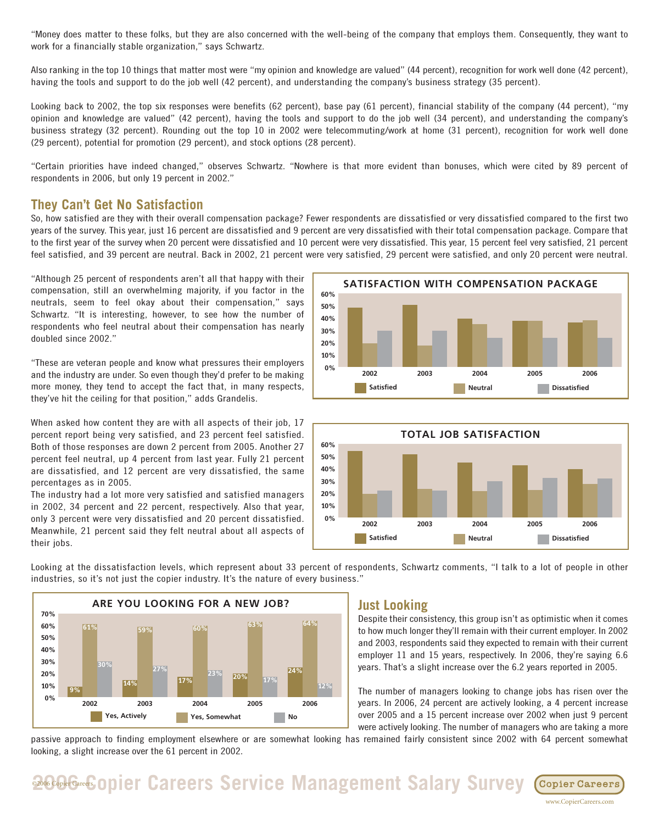"Money does matter to these folks, but they are also concerned with the well-being of the company that employs them. Consequently, they want to work for a financially stable organization," says Schwartz.

Also ranking in the top 10 things that matter most were "my opinion and knowledge are valued" (44 percent), recognition for work well done (42 percent), having the tools and support to do the job well (42 percent), and understanding the company's business strategy (35 percent).

Looking back to 2002, the top six responses were benefits (62 percent), base pay (61 percent), financial stability of the company (44 percent), "my opinion and knowledge are valued" (42 percent), having the tools and support to do the job well (34 percent), and understanding the company's business strategy (32 percent). Rounding out the top 10 in 2002 were telecommuting/work at home (31 percent), recognition for work well done (29 percent), potential for promotion (29 percent), and stock options (28 percent).

"Certain priorities have indeed changed," observes Schwartz. "Nowhere is that more evident than bonuses, which were cited by 89 percent of respondents in 2006, but only 19 percent in 2002."

# **They Can't Get No Satisfaction**

So, how satisfied are they with their overall compensation package? Fewer respondents are dissatisfied or very dissatisfied compared to the first two years of the survey. This year, just 16 percent are dissatisfied and 9 percent are very dissatisfied with their total compensation package. Compare that to the first year of the survey when 20 percent were dissatisfied and 10 percent were very dissatisfied. This year, 15 percent feel very satisfied, 21 percent feel satisfied, and 39 percent are neutral. Back in 2002, 21 percent were very satisfied, 29 percent were satisfied, and only 20 percent were neutral.

"Although 25 percent of respondents aren't all that happy with their compensation, still an overwhelming majority, if you factor in the neutrals, seem to feel okay about their compensation," says Schwartz. "It is interesting, however, to see how the number of respondents who feel neutral about their compensation has nearly doubled since 2002."

"These are veteran people and know what pressures their employers and the industry are under. So even though they'd prefer to be making more money, they tend to accept the fact that, in many respects, they've hit the ceiling for that position," adds Grandelis.

When asked how content they are with all aspects of their job, 17 percent report being very satisfied, and 23 percent feel satisfied. Both of those responses are down 2 percent from 2005. Another 27 percent feel neutral, up 4 percent from last year. Fully 21 percent are dissatisfied, and 12 percent are very dissatisfied, the same percentages as in 2005.

The industry had a lot more very satisfied and satisfied managers in 2002, 34 percent and 22 percent, respectively. Also that year, only 3 percent were very dissatisfied and 20 percent dissatisfied. Meanwhile, 21 percent said they felt neutral about all aspects of their jobs.

![](_page_2_Figure_10.jpeg)

![](_page_2_Figure_11.jpeg)

Looking at the dissatisfaction levels, which represent about 33 percent of respondents, Schwartz comments, "I talk to a lot of people in other industries, so it's not just the copier industry. It's the nature of every business."

![](_page_2_Figure_13.jpeg)

# **Just Looking**

Despite their consistency, this group isn't as optimistic when it comes to how much longer they'll remain with their current employer. In 2002 and 2003, respondents said they expected to remain with their current employer 11 and 15 years, respectively. In 2006, they're saying 6.6 years. That's a slight increase over the 6.2 years reported in 2005.

The number of managers looking to change jobs has risen over the years. In 2006, 24 percent are actively looking, a 4 percent increase over 2005 and a 15 percent increase over 2002 when just 9 percent were actively looking. The number of managers who are taking a more

www.CopierCareers.com

passive approach to finding employment elsewhere or are somewhat looking has remained fairly consistent since 2002 with 64 percent somewhat looking, a slight increase over the 61 percent in 2002.

**2006 Copier Careers Service Management Salary Survey Copier Careers**